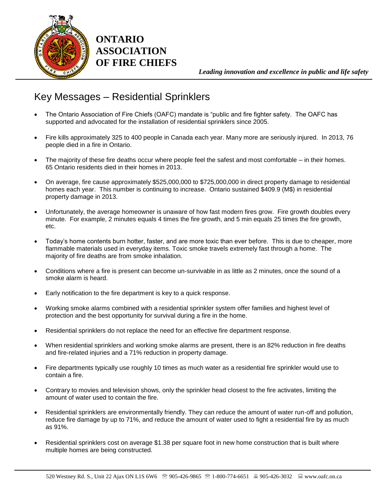

**ONTARIO ASSOCIATION OF FIRE CHIEFS**

*Leading innovation and excellence in public and life safety*

## Key Messages – Residential Sprinklers

- The Ontario Association of Fire Chiefs (OAFC) mandate is "public and fire fighter safety. The OAFC has supported and advocated for the installation of residential sprinklers since 2005.
- Fire kills approximately 325 to 400 people in Canada each year. Many more are seriously injured. In 2013, 76 people died in a fire in Ontario.
- The majority of these fire deaths occur where people feel the safest and most comfortable in their homes. 65 Ontario residents died in their homes in 2013.
- On average, fire cause approximately \$525,000,000 to \$725,000,000 in direct property damage to residential homes each year. This number is continuing to increase. Ontario sustained \$409.9 (M\$) in residential property damage in 2013.
- Unfortunately, the average homeowner is unaware of how fast modern fires grow. Fire growth doubles every minute. For example, 2 minutes equals 4 times the fire growth, and 5 min equals 25 times the fire growth, etc.
- Today's home contents burn hotter, faster, and are more toxic than ever before. This is due to cheaper, more flammable materials used in everyday items. Toxic smoke travels extremely fast through a home. The majority of fire deaths are from smoke inhalation.
- Conditions where a fire is present can become un-survivable in as little as 2 minutes, once the sound of a smoke alarm is heard.
- Early notification to the fire department is key to a quick response.
- Working smoke alarms combined with a residential sprinkler system offer families and highest level of protection and the best opportunity for survival during a fire in the home.
- Residential sprinklers do not replace the need for an effective fire department response.
- When residential sprinklers and working smoke alarms are present, there is an 82% reduction in fire deaths and fire-related injuries and a 71% reduction in property damage.
- Fire departments typically use roughly 10 times as much water as a residential fire sprinkler would use to contain a fire.
- Contrary to movies and television shows, only the sprinkler head closest to the fire activates, limiting the amount of water used to contain the fire.
- Residential sprinklers are environmentally friendly. They can reduce the amount of water run-off and pollution, reduce fire damage by up to 71%, and reduce the amount of water used to fight a residential fire by as much as 91%.
- Residential sprinklers cost on average \$1.38 per square foot in new home construction that is built where multiple homes are being constructed.